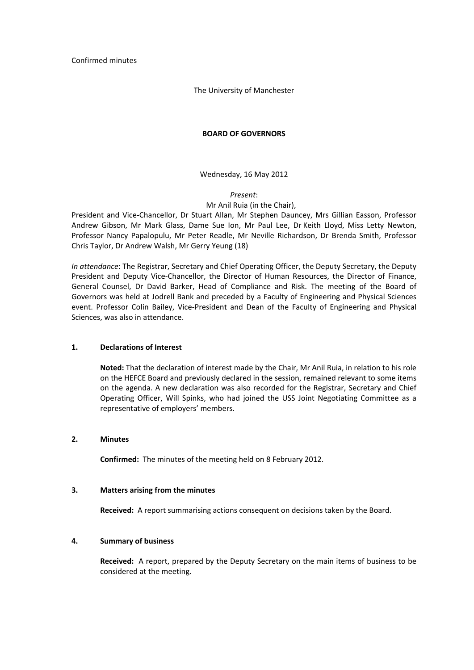Confirmed minutes

The University of Manchester

## **BOARD OF GOVERNORS**

Wednesday, 16 May 2012

## *Present*:

## Mr Anil Ruia (in the Chair),

President and Vice‐Chancellor, Dr Stuart Allan, Mr Stephen Dauncey, Mrs Gillian Easson, Professor Andrew Gibson, Mr Mark Glass, Dame Sue Ion, Mr Paul Lee, Dr Keith Lloyd, Miss Letty Newton, Professor Nancy Papalopulu, Mr Peter Readle, Mr Neville Richardson, Dr Brenda Smith, Professor Chris Taylor, Dr Andrew Walsh, Mr Gerry Yeung (18)

*In attendance*: The Registrar, Secretary and Chief Operating Officer, the Deputy Secretary, the Deputy President and Deputy Vice‐Chancellor, the Director of Human Resources, the Director of Finance, General Counsel, Dr David Barker, Head of Compliance and Risk. The meeting of the Board of Governors was held at Jodrell Bank and preceded by a Faculty of Engineering and Physical Sciences event. Professor Colin Bailey, Vice‐President and Dean of the Faculty of Engineering and Physical Sciences, was also in attendance.

# **1. Declarations of Interest**

**Noted:** That the declaration of interest made by the Chair, Mr Anil Ruia, in relation to his role on the HEFCE Board and previously declared in the session, remained relevant to some items on the agenda. A new declaration was also recorded for the Registrar, Secretary and Chief Operating Officer, Will Spinks, who had joined the USS Joint Negotiating Committee as a representative of employers' members.

# **2. Minutes**

**Confirmed:** The minutes of the meeting held on 8 February 2012.

### **3. Matters arising from the minutes**

**Received:** A report summarising actions consequent on decisions taken by the Board.

# **4. Summary of business**

**Received:** A report, prepared by the Deputy Secretary on the main items of business to be considered at the meeting.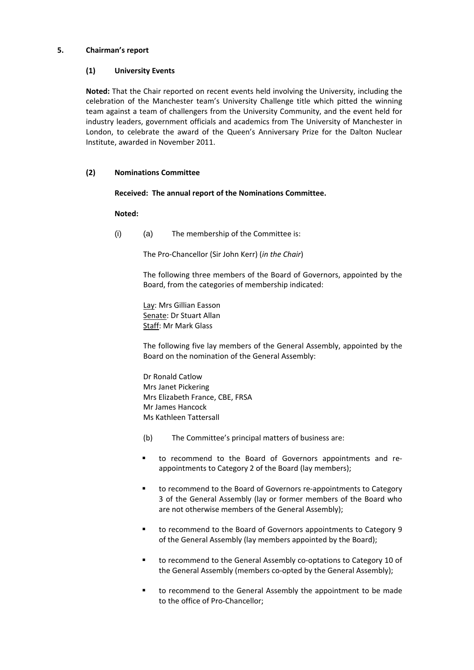## **5. Chairman's report**

# **(1) University Events**

**Noted:** That the Chair reported on recent events held involving the University, including the celebration of the Manchester team's University Challenge title which pitted the winning team against a team of challengers from the University Community, and the event held for industry leaders, government officials and academics from The University of Manchester in London, to celebrate the award of the Queen's Anniversary Prize for the Dalton Nuclear Institute, awarded in November 2011.

## **(2) Nominations Committee**

## **Received: The annual report of the Nominations Committee.**

## **Noted:**

 $(i)$  (a) The membership of the Committee is:

The Pro‐Chancellor (Sir John Kerr) (*in the Chair*)

The following three members of the Board of Governors, appointed by the Board, from the categories of membership indicated:

Lay: Mrs Gillian Easson Senate: Dr Stuart Allan Staff: Mr Mark Glass

The following five lay members of the General Assembly, appointed by the Board on the nomination of the General Assembly:

Dr Ronald Catlow Mrs Janet Pickering Mrs Elizabeth France, CBE, FRSA Mr James Hancock Ms Kathleen Tattersall

- (b) The Committee's principal matters of business are:
- to recommend to the Board of Governors appointments and re‐ appointments to Category 2 of the Board (lay members);
- to recommend to the Board of Governors re-appointments to Category 3 of the General Assembly (lay or former members of the Board who are not otherwise members of the General Assembly);
- to recommend to the Board of Governors appointments to Category 9 of the General Assembly (lay members appointed by the Board);
- to recommend to the General Assembly co-optations to Category 10 of the General Assembly (members co-opted by the General Assembly);
- to recommend to the General Assembly the appointment to be made to the office of Pro‐Chancellor;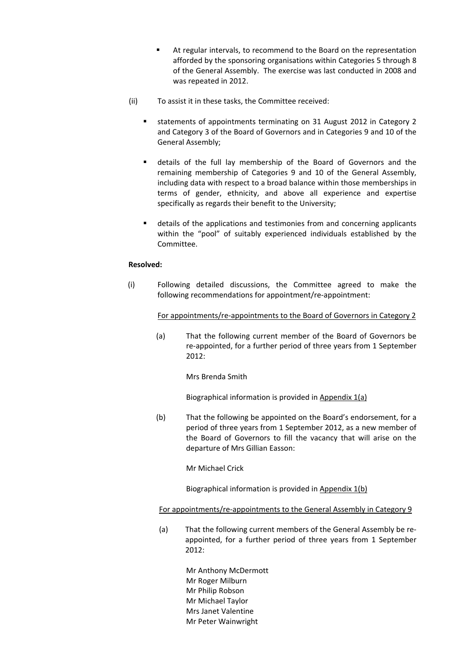- At regular intervals, to recommend to the Board on the representation afforded by the sponsoring organisations within Categories 5 through 8 of the General Assembly. The exercise was last conducted in 2008 and was repeated in 2012.
- (ii) To assist it in these tasks, the Committee received:
	- statements of appointments terminating on 31 August 2012 in Category 2 and Category 3 of the Board of Governors and in Categories 9 and 10 of the General Assembly;
	- details of the full lay membership of the Board of Governors and the remaining membership of Categories 9 and 10 of the General Assembly, including data with respect to a broad balance within those memberships in terms of gender, ethnicity, and above all experience and expertise specifically as regards their benefit to the University;
	- details of the applications and testimonies from and concerning applicants within the "pool" of suitably experienced individuals established by the Committee.

## **Resolved:**

 (i) Following detailed discussions, the Committee agreed to make the following recommendations for appointment/re-appointment:

For appointments/re‐appointments to the Board of Governors in Category 2

 (a) That the following current member of the Board of Governors be re-appointed, for a further period of three years from 1 September 2012:

Mrs Brenda Smith

Biographical information is provided in Appendix 1(a)

 (b) That the following be appointed on the Board's endorsement, for a period of three years from 1 September 2012, as a new member of the Board of Governors to fill the vacancy that will arise on the departure of Mrs Gillian Easson:

Mr Michael Crick

Biographical information is provided in Appendix 1(b)

### For appointments/re-appointments to the General Assembly in Category 9

 (a) That the following current members of the General Assembly be re‐ appointed, for a further period of three years from 1 September 2012:

> Mr Anthony McDermott Mr Roger Milburn Mr Philip Robson Mr Michael Taylor Mrs Janet Valentine Mr Peter Wainwright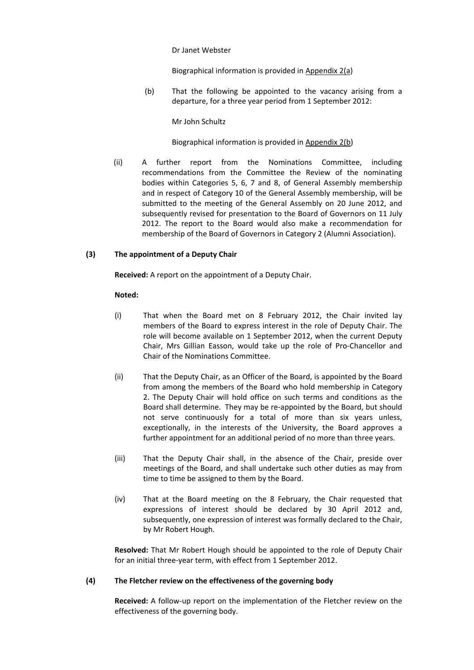#### Dr Janet Webster

Biographical information is provided in Appendix 2(a)

 (b) That the following be appointed to the vacancy arising from a departure, for a three year period from 1 September 2012:

### Mr John Schultz

## Biographical information is provided in Appendix 2(b)

 (ii) A further report from the Nominations Committee, including recommendations from the Committee the Review of the nominating bodies within Categories 5, 6, 7 and 8, of General Assembly membership and in respect of Category 10 of the General Assembly membership, will be submitted to the meeting of the General Assembly on 20 June 2012, and subsequently revised for presentation to the Board of Governors on 11 July 2012. The report to the Board would also make a recommendation for membership of the Board of Governors in Category 2 (Alumni Association).

### **(3) The appointment of a Deputy Chair**

**Received:** A report on the appointment of a Deputy Chair.

### **Noted:**

- (i) That when the Board met on 8 February 2012, the Chair invited lay members of the Board to express interest in the role of Deputy Chair. The role will become available on 1 September 2012, when the current Deputy Chair, Mrs Gillian Easson, would take up the role of Pro‐Chancellor and Chair of the Nominations Committee.
- (ii) That the Deputy Chair, as an Officer of the Board, is appointed by the Board from among the members of the Board who hold membership in Category 2. The Deputy Chair will hold office on such terms and conditions as the Board shall determine. They may be re‐appointed by the Board, but should not serve continuously for a total of more than six years unless, exceptionally, in the interests of the University, the Board approves a further appointment for an additional period of no more than three years.
- (iii) That the Deputy Chair shall, in the absence of the Chair, preside over meetings of the Board, and shall undertake such other duties as may from time to time be assigned to them by the Board.
- (iv) That at the Board meeting on the 8 February, the Chair requested that expressions of interest should be declared by 30 April 2012 and, subsequently, one expression of interest was formally declared to the Chair, by Mr Robert Hough.

**Resolved:** That Mr Robert Hough should be appointed to the role of Deputy Chair for an initial three‐year term, with effect from 1 September 2012.

## **(4) The Fletcher review on the effectiveness of the governing body**

**Received:** A follow‐up report on the implementation of the Fletcher review on the effectiveness of the governing body.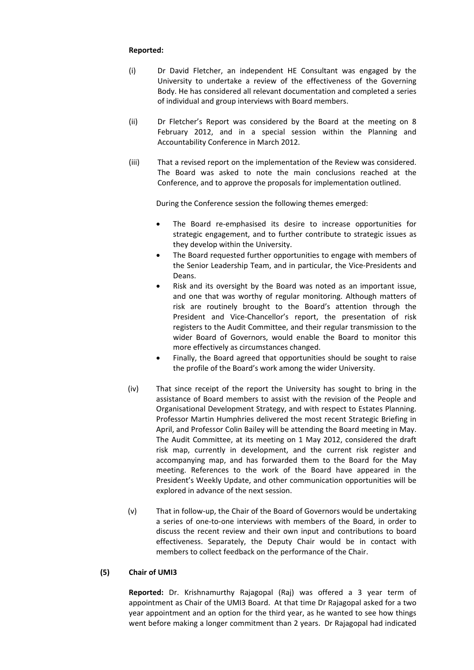## **Reported:**

- (i) Dr David Fletcher, an independent HE Consultant was engaged by the University to undertake a review of the effectiveness of the Governing Body. He has considered all relevant documentation and completed a series of individual and group interviews with Board members.
- (ii) Dr Fletcher's Report was considered by the Board at the meeting on 8 February 2012, and in a special session within the Planning and Accountability Conference in March 2012.
- (iii) That a revised report on the implementation of the Review was considered. The Board was asked to note the main conclusions reached at the Conference, and to approve the proposals for implementation outlined.

During the Conference session the following themes emerged:

- The Board re-emphasised its desire to increase opportunities for strategic engagement, and to further contribute to strategic issues as they develop within the University.
- The Board requested further opportunities to engage with members of the Senior Leadership Team, and in particular, the Vice‐Presidents and Deans.
- Risk and its oversight by the Board was noted as an important issue, and one that was worthy of regular monitoring. Although matters of risk are routinely brought to the Board's attention through the President and Vice-Chancellor's report, the presentation of risk registers to the Audit Committee, and their regular transmission to the wider Board of Governors, would enable the Board to monitor this more effectively as circumstances changed.
- Finally, the Board agreed that opportunities should be sought to raise the profile of the Board's work among the wider University.
- (iv) That since receipt of the report the University has sought to bring in the assistance of Board members to assist with the revision of the People and Organisational Development Strategy, and with respect to Estates Planning. Professor Martin Humphries delivered the most recent Strategic Briefing in April, and Professor Colin Bailey will be attending the Board meeting in May. The Audit Committee, at its meeting on 1 May 2012, considered the draft risk map, currently in development, and the current risk register and accompanying map, and has forwarded them to the Board for the May meeting. References to the work of the Board have appeared in the President's Weekly Update, and other communication opportunities will be explored in advance of the next session.
- (v) That in follow‐up, the Chair of the Board of Governors would be undertaking a series of one‐to‐one interviews with members of the Board, in order to discuss the recent review and their own input and contributions to board effectiveness. Separately, the Deputy Chair would be in contact with members to collect feedback on the performance of the Chair.

# **(5) Chair of UMI3**

**Reported:** Dr. Krishnamurthy Rajagopal (Raj) was offered a 3 year term of appointment as Chair of the UMI3 Board. At that time Dr Rajagopal asked for a two year appointment and an option for the third year, as he wanted to see how things went before making a longer commitment than 2 years. Dr Rajagopal had indicated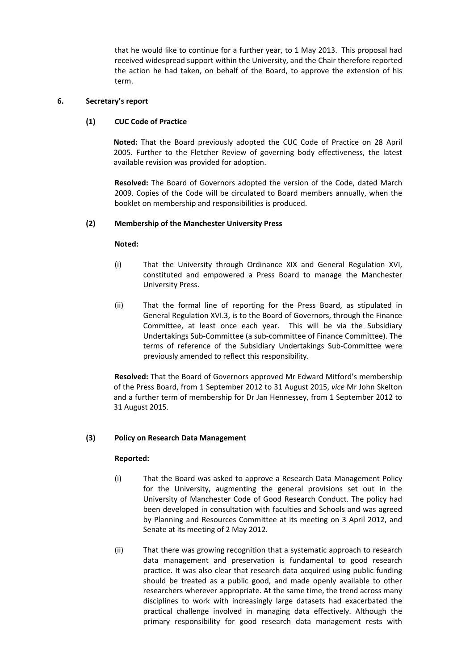that he would like to continue for a further year, to 1 May 2013. This proposal had received widespread support within the University, and the Chair therefore reported the action he had taken, on behalf of the Board, to approve the extension of his term.

# **6. Secretary's report**

# **(1) CUC Code of Practice**

**Noted:** That the Board previously adopted the CUC Code of Practice on 28 April 2005. Further to the Fletcher Review of governing body effectiveness, the latest available revision was provided for adoption.

**Resolved:** The Board of Governors adopted the version of the Code, dated March 2009. Copies of the Code will be circulated to Board members annually, when the booklet on membership and responsibilities is produced.

## **(2) Membership of the Manchester University Press**

### **Noted:**

- (i) That the University through Ordinance XIX and General Regulation XVI, constituted and empowered a Press Board to manage the Manchester University Press.
- (ii) That the formal line of reporting for the Press Board, as stipulated in General Regulation XVI.3, is to the Board of Governors, through the Finance Committee, at least once each year. This will be via the Subsidiary Undertakings Sub‐Committee (a sub‐committee of Finance Committee). The terms of reference of the Subsidiary Undertakings Sub‐Committee were previously amended to reflect this responsibility.

**Resolved:** That the Board of Governors approved Mr Edward Mitford's membership of the Press Board, from 1 September 2012 to 31 August 2015, *vice* Mr John Skelton and a further term of membership for Dr Jan Hennessey, from 1 September 2012 to 31 August 2015.

# **(3) Policy on Research Data Management**

- (i) That the Board was asked to approve a Research Data Management Policy for the University, augmenting the general provisions set out in the University of Manchester Code of Good Research Conduct. The policy had been developed in consultation with faculties and Schools and was agreed by Planning and Resources Committee at its meeting on 3 April 2012, and Senate at its meeting of 2 May 2012.
- (ii) That there was growing recognition that a systematic approach to research data management and preservation is fundamental to good research practice. It was also clear that research data acquired using public funding should be treated as a public good, and made openly available to other researchers wherever appropriate. At the same time, the trend across many disciplines to work with increasingly large datasets had exacerbated the practical challenge involved in managing data effectively. Although the primary responsibility for good research data management rests with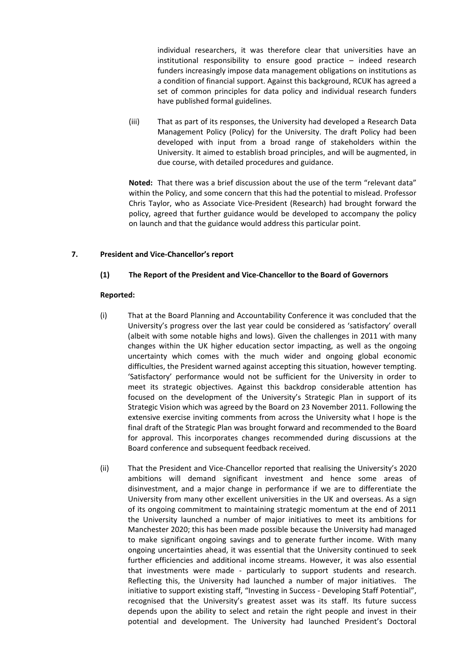individual researchers, it was therefore clear that universities have an institutional responsibility to ensure good practice – indeed research funders increasingly impose data management obligations on institutions as a condition of financial support. Against this background, RCUK has agreed a set of common principles for data policy and individual research funders have published formal guidelines.

(iii) That as part of its responses, the University had developed a Research Data Management Policy (Policy) for the University. The draft Policy had been developed with input from a broad range of stakeholders within the University. It aimed to establish broad principles, and will be augmented, in due course, with detailed procedures and guidance.

 **Noted:** That there was a brief discussion about the use of the term "relevant data" within the Policy, and some concern that this had the potential to mislead. Professor Chris Taylor, who as Associate Vice‐President (Research) had brought forward the policy, agreed that further guidance would be developed to accompany the policy on launch and that the guidance would address this particular point.

# **7. President and Vice‐Chancellor's report**

## **(1) The Report of the President and Vice‐Chancellor to the Board of Governors**

- (i) That at the Board Planning and Accountability Conference it was concluded that the University's progress over the last year could be considered as 'satisfactory' overall (albeit with some notable highs and lows). Given the challenges in 2011 with many changes within the UK higher education sector impacting, as well as the ongoing uncertainty which comes with the much wider and ongoing global economic difficulties, the President warned against accepting this situation, however tempting. 'Satisfactory' performance would not be sufficient for the University in order to meet its strategic objectives. Against this backdrop considerable attention has focused on the development of the University's Strategic Plan in support of its Strategic Vision which was agreed by the Board on 23 November 2011. Following the extensive exercise inviting comments from across the University what I hope is the final draft of the Strategic Plan was brought forward and recommended to the Board for approval. This incorporates changes recommended during discussions at the Board conference and subsequent feedback received.
- (ii) That the President and Vice‐Chancellor reported that realising the University's 2020 ambitions will demand significant investment and hence some areas of disinvestment, and a major change in performance if we are to differentiate the University from many other excellent universities in the UK and overseas. As a sign of its ongoing commitment to maintaining strategic momentum at the end of 2011 the University launched a number of major initiatives to meet its ambitions for Manchester 2020; this has been made possible because the University had managed to make significant ongoing savings and to generate further income. With many ongoing uncertainties ahead, it was essential that the University continued to seek further efficiencies and additional income streams. However, it was also essential that investments were made ‐ particularly to support students and research. Reflecting this, the University had launched a number of major initiatives. The initiative to support existing staff, "Investing in Success ‐ Developing Staff Potential", recognised that the University's greatest asset was its staff. Its future success depends upon the ability to select and retain the right people and invest in their potential and development. The University had launched President's Doctoral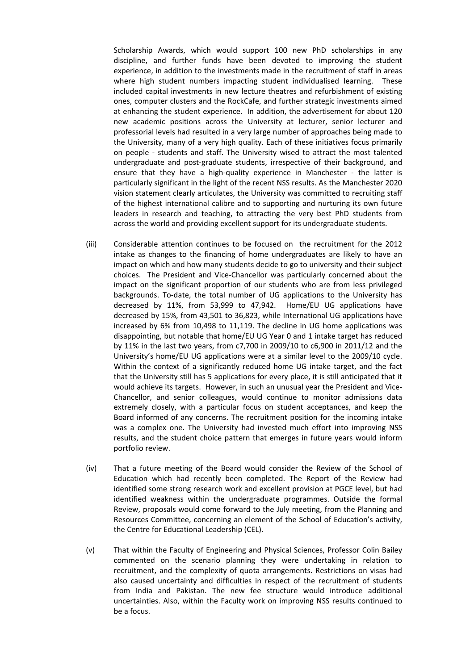Scholarship Awards, which would support 100 new PhD scholarships in any discipline, and further funds have been devoted to improving the student experience, in addition to the investments made in the recruitment of staff in areas where high student numbers impacting student individualised learning. These included capital investments in new lecture theatres and refurbishment of existing ones, computer clusters and the RockCafe, and further strategic investments aimed at enhancing the student experience. In addition, the advertisement for about 120 new academic positions across the University at lecturer, senior lecturer and professorial levels had resulted in a very large number of approaches being made to the University, many of a very high quality. Each of these initiatives focus primarily on people - students and staff. The University wised to attract the most talented undergraduate and post‐graduate students, irrespective of their background, and ensure that they have a high-quality experience in Manchester - the latter is particularly significant in the light of the recent NSS results. As the Manchester 2020 vision statement clearly articulates, the University was committed to recruiting staff of the highest international calibre and to supporting and nurturing its own future leaders in research and teaching, to attracting the very best PhD students from across the world and providing excellent support for its undergraduate students.

- (iii) Considerable attention continues to be focused on the recruitment for the 2012 intake as changes to the financing of home undergraduates are likely to have an impact on which and how many students decide to go to university and their subject choices. The President and Vice‐Chancellor was particularly concerned about the impact on the significant proportion of our students who are from less privileged backgrounds. To‐date, the total number of UG applications to the University has decreased by 11%, from 53,999 to 47,942. Home/EU UG applications have decreased by 15%, from 43,501 to 36,823, while International UG applications have increased by 6% from 10,498 to 11,119. The decline in UG home applications was disappointing, but notable that home/EU UG Year 0 and 1 intake target has reduced by 11% in the last two years, from c7,700 in 2009/10 to c6,900 in 2011/12 and the University's home/EU UG applications were at a similar level to the 2009/10 cycle. Within the context of a significantly reduced home UG intake target, and the fact that the University still has 5 applications for every place, it is still anticipated that it would achieve its targets. However, in such an unusual year the President and Vice-Chancellor, and senior colleagues, would continue to monitor admissions data extremely closely, with a particular focus on student acceptances, and keep the Board informed of any concerns. The recruitment position for the incoming intake was a complex one. The University had invested much effort into improving NSS results, and the student choice pattern that emerges in future years would inform portfolio review.
- (iv) That a future meeting of the Board would consider the Review of the School of Education which had recently been completed. The Report of the Review had identified some strong research work and excellent provision at PGCE level, but had identified weakness within the undergraduate programmes. Outside the formal Review, proposals would come forward to the July meeting, from the Planning and Resources Committee, concerning an element of the School of Education's activity, the Centre for Educational Leadership (CEL).
- (v) That within the Faculty of Engineering and Physical Sciences, Professor Colin Bailey commented on the scenario planning they were undertaking in relation to recruitment, and the complexity of quota arrangements. Restrictions on visas had also caused uncertainty and difficulties in respect of the recruitment of students from India and Pakistan. The new fee structure would introduce additional uncertainties. Also, within the Faculty work on improving NSS results continued to be a focus.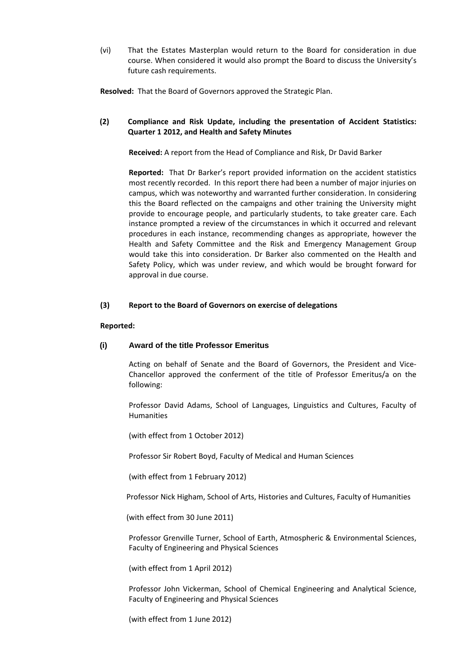(vi) That the Estates Masterplan would return to the Board for consideration in due course. When considered it would also prompt the Board to discuss the University's future cash requirements.

Resolved: That the Board of Governors approved the Strategic Plan.

# **(2) Compliance and Risk Update, including the presentation of Accident Statistics: Quarter 1 2012, and Health and Safety Minutes**

**Received:** A report from the Head of Compliance and Risk, Dr David Barker

**Reported:** That Dr Barker's report provided information on the accident statistics most recently recorded. In this report there had been a number of major injuries on campus, which was noteworthy and warranted further consideration. In considering this the Board reflected on the campaigns and other training the University might provide to encourage people, and particularly students, to take greater care. Each instance prompted a review of the circumstances in which it occurred and relevant procedures in each instance, recommending changes as appropriate, however the Health and Safety Committee and the Risk and Emergency Management Group would take this into consideration. Dr Barker also commented on the Health and Safety Policy, which was under review, and which would be brought forward for approval in due course.

## **(3) Report to the Board of Governors on exercise of delegations**

### **Reported:**

# **(i) Award of the title Professor Emeritus**

Acting on behalf of Senate and the Board of Governors, the President and Vice‐ Chancellor approved the conferment of the title of Professor Emeritus/a on the following:

Professor David Adams, School of Languages, Linguistics and Cultures, Faculty of Humanities

(with effect from 1 October 2012)

Professor Sir Robert Boyd, Faculty of Medical and Human Sciences

(with effect from 1 February 2012)

Professor Nick Higham, School of Arts, Histories and Cultures, Faculty of Humanities

(with effect from 30 June 2011)

Professor Grenville Turner, School of Earth, Atmospheric & Environmental Sciences, Faculty of Engineering and Physical Sciences

(with effect from 1 April 2012)

Professor John Vickerman, School of Chemical Engineering and Analytical Science, Faculty of Engineering and Physical Sciences

(with effect from 1 June 2012)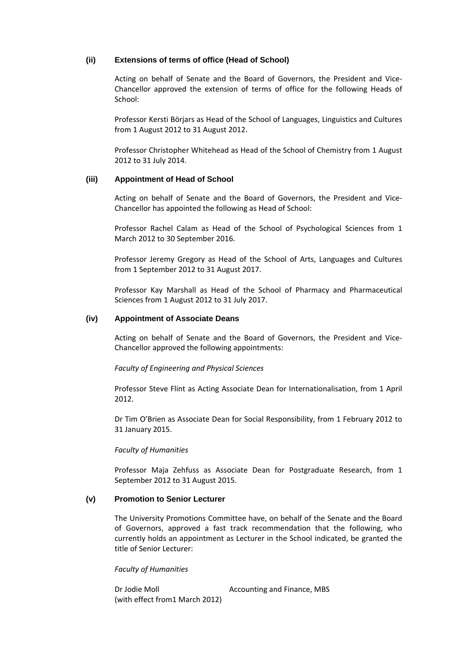# **(ii) Extensions of terms of office (Head of School)**

Acting on behalf of Senate and the Board of Governors, the President and Vice‐ Chancellor approved the extension of terms of office for the following Heads of School:

Professor Kersti Börjars as Head of the School of Languages, Linguistics and Cultures from 1 August 2012 to 31 August 2012.

Professor Christopher Whitehead as Head of the School of Chemistry from 1 August 2012 to 31 July 2014.

## **(iii) Appointment of Head of School**

Acting on behalf of Senate and the Board of Governors, the President and Vice‐ Chancellor has appointed the following as Head of School:

Professor Rachel Calam as Head of the School of Psychological Sciences from 1 March 2012 to 30 September 2016.

Professor Jeremy Gregory as Head of the School of Arts, Languages and Cultures from 1 September 2012 to 31 August 2017.

Professor Kay Marshall as Head of the School of Pharmacy and Pharmaceutical Sciences from 1 August 2012 to 31 July 2017.

### **(iv) Appointment of Associate Deans**

Acting on behalf of Senate and the Board of Governors, the President and Vice‐ Chancellor approved the following appointments:

*Faculty of Engineering and Physical Sciences* 

Professor Steve Flint as Acting Associate Dean for Internationalisation, from 1 April 2012.

Dr Tim O'Brien as Associate Dean for Social Responsibility, from 1 February 2012 to 31 January 2015.

*Faculty of Humanities*

Professor Maja Zehfuss as Associate Dean for Postgraduate Research, from 1 September 2012 to 31 August 2015.

### **(v) Promotion to Senior Lecturer**

The University Promotions Committee have, on behalf of the Senate and the Board of Governors, approved a fast track recommendation that the following, who currently holds an appointment as Lecturer in the School indicated, be granted the title of Senior Lecturer:

### *Faculty of Humanities*

Dr Jodie Moll **Dr Jodie Moll COLLEGAN Accounting and Finance, MBS** (with effect from1 March 2012)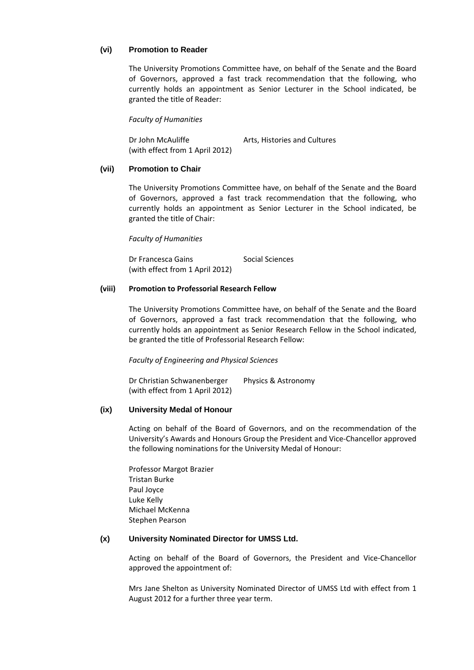## **(vi) Promotion to Reader**

The University Promotions Committee have, on behalf of the Senate and the Board of Governors, approved a fast track recommendation that the following, who currently holds an appointment as Senior Lecturer in the School indicated, be granted the title of Reader:

*Faculty of Humanities*

Dr John McAuliffe **McAuliffe Arts. Histories and Cultures** (with effect from 1 April 2012)

## **(vii) Promotion to Chair**

The University Promotions Committee have, on behalf of the Senate and the Board of Governors, approved a fast track recommendation that the following, who currently holds an appointment as Senior Lecturer in the School indicated, be granted the title of Chair:

*Faculty of Humanities*

Dr Francesca Gains Social Sciences (with effect from 1 April 2012)

## **(viii) Promotion to Professorial Research Fellow**

The University Promotions Committee have, on behalf of the Senate and the Board of Governors, approved a fast track recommendation that the following, who currently holds an appointment as Senior Research Fellow in the School indicated, be granted the title of Professorial Research Fellow:

*Faculty of Engineering and Physical Sciences*

Dr Christian Schwanenberger Physics & Astronomy (with effect from 1 April 2012)

# **(ix) University Medal of Honour**

Acting on behalf of the Board of Governors, and on the recommendation of the University's Awards and Honours Group the President and Vice‐Chancellor approved the following nominations for the University Medal of Honour:

Professor Margot Brazier Tristan Burke Paul Joyce Luke Kelly Michael McKenna Stephen Pearson

### **(x) University Nominated Director for UMSS Ltd.**

Acting on behalf of the Board of Governors, the President and Vice‐Chancellor approved the appointment of:

Mrs Jane Shelton as University Nominated Director of UMSS Ltd with effect from 1 August 2012 for a further three year term.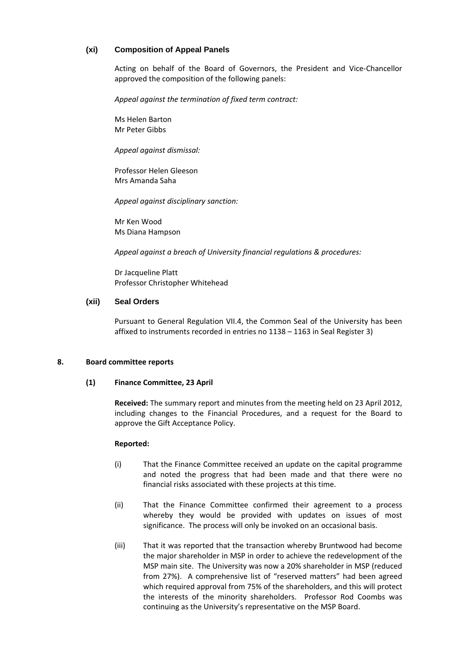# **(xi) Composition of Appeal Panels**

Acting on behalf of the Board of Governors, the President and Vice‐Chancellor approved the composition of the following panels:

*Appeal against the termination of fixed term contract:*

Ms Helen Barton Mr Peter Gibbs

*Appeal against dismissal:*

Professor Helen Gleeson Mrs Amanda Saha

*Appeal against disciplinary sanction:*

Mr Ken Wood Ms Diana Hampson

*Appeal against a breach of University financial regulations & procedures:*

Dr Jacqueline Platt Professor Christopher Whitehead

## **(xii) Seal Orders**

Pursuant to General Regulation VII.4, the Common Seal of the University has been affixed to instruments recorded in entries no 1138 – 1163 in Seal Register 3)

#### **8. Board committee reports**

### **(1) Finance Committee, 23 April**

**Received:** The summary report and minutes from the meeting held on 23 April 2012, including changes to the Financial Procedures, and a request for the Board to approve the Gift Acceptance Policy.

- (i) That the Finance Committee received an update on the capital programme and noted the progress that had been made and that there were no financial risks associated with these projects at this time.
- (ii) That the Finance Committee confirmed their agreement to a process whereby they would be provided with updates on issues of most significance. The process will only be invoked on an occasional basis.
- (iii) That it was reported that the transaction whereby Bruntwood had become the major shareholder in MSP in order to achieve the redevelopment of the MSP main site. The University was now a 20% shareholder in MSP (reduced from 27%). A comprehensive list of "reserved matters" had been agreed which required approval from 75% of the shareholders, and this will protect the interests of the minority shareholders. Professor Rod Coombs was continuing as the University's representative on the MSP Board.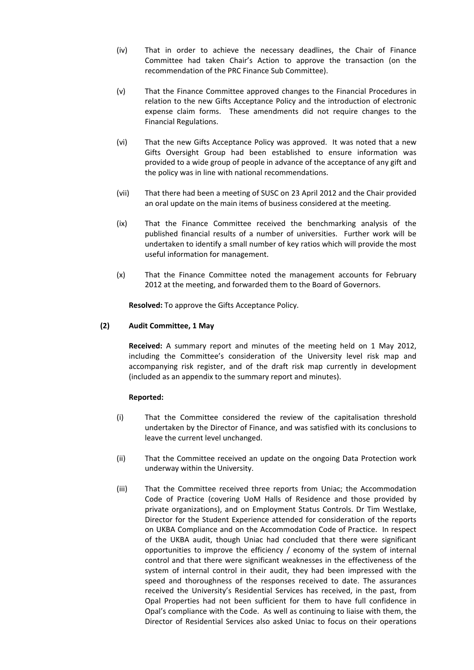- (iv) That in order to achieve the necessary deadlines, the Chair of Finance Committee had taken Chair's Action to approve the transaction (on the recommendation of the PRC Finance Sub Committee).
- (v) That the Finance Committee approved changes to the Financial Procedures in relation to the new Gifts Acceptance Policy and the introduction of electronic expense claim forms. These amendments did not require changes to the Financial Regulations.
- (vi) That the new Gifts Acceptance Policy was approved. It was noted that a new Gifts Oversight Group had been established to ensure information was provided to a wide group of people in advance of the acceptance of any gift and the policy was in line with national recommendations.
- (vii) That there had been a meeting of SUSC on 23 April 2012 and the Chair provided an oral update on the main items of business considered at the meeting.
- (ix) That the Finance Committee received the benchmarking analysis of the published financial results of a number of universities. Further work will be undertaken to identify a small number of key ratios which will provide the most useful information for management.
- (x) That the Finance Committee noted the management accounts for February 2012 at the meeting, and forwarded them to the Board of Governors.

**Resolved:** To approve the Gifts Acceptance Policy.

## **(2) Audit Committee, 1 May**

**Received:** A summary report and minutes of the meeting held on 1 May 2012, including the Committee's consideration of the University level risk map and accompanying risk register, and of the draft risk map currently in development (included as an appendix to the summary report and minutes).

- (i) That the Committee considered the review of the capitalisation threshold undertaken by the Director of Finance, and was satisfied with its conclusions to leave the current level unchanged.
- (ii) That the Committee received an update on the ongoing Data Protection work underway within the University.
- (iii) That the Committee received three reports from Uniac; the Accommodation Code of Practice (covering UoM Halls of Residence and those provided by private organizations), and on Employment Status Controls. Dr Tim Westlake, Director for the Student Experience attended for consideration of the reports on UKBA Compliance and on the Accommodation Code of Practice. In respect of the UKBA audit, though Uniac had concluded that there were significant opportunities to improve the efficiency / economy of the system of internal control and that there were significant weaknesses in the effectiveness of the system of internal control in their audit, they had been impressed with the speed and thoroughness of the responses received to date. The assurances received the University's Residential Services has received, in the past, from Opal Properties had not been sufficient for them to have full confidence in Opal's compliance with the Code. As well as continuing to liaise with them, the Director of Residential Services also asked Uniac to focus on their operations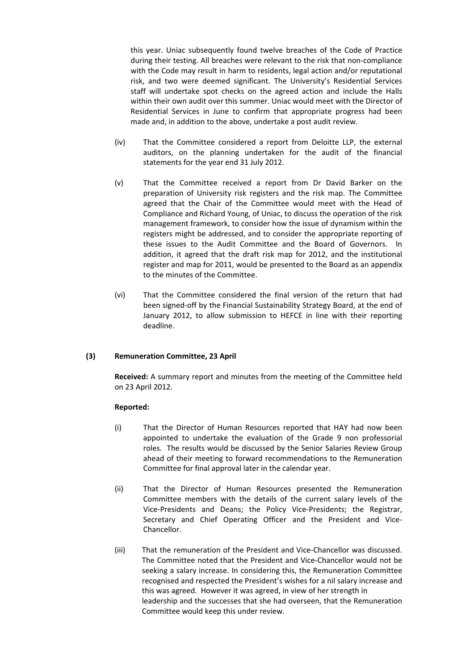this year. Uniac subsequently found twelve breaches of the Code of Practice during their testing. All breaches were relevant to the risk that non‐compliance with the Code may result in harm to residents, legal action and/or reputational risk, and two were deemed significant. The University's Residential Services staff will undertake spot checks on the agreed action and include the Halls within their own audit over this summer. Uniac would meet with the Director of Residential Services in June to confirm that appropriate progress had been made and, in addition to the above, undertake a post audit review.

- (iv) That the Committee considered a report from Deloitte LLP, the external auditors, on the planning undertaken for the audit of the financial statements for the year end 31 July 2012.
- (v) That the Committee received a report from Dr David Barker on the preparation of University risk registers and the risk map. The Committee agreed that the Chair of the Committee would meet with the Head of Compliance and Richard Young, of Uniac, to discuss the operation of the risk management framework, to consider how the issue of dynamism within the registers might be addressed, and to consider the appropriate reporting of these issues to the Audit Committee and the Board of Governors. In addition, it agreed that the draft risk map for 2012, and the institutional register and map for 2011, would be presented to the Board as an appendix to the minutes of the Committee.
- (vi) That the Committee considered the final version of the return that had been signed‐off by the Financial Sustainability Strategy Board, at the end of January 2012, to allow submission to HEFCE in line with their reporting deadline.

# **(3) Remuneration Committee, 23 April**

**Received:** A summary report and minutes from the meeting of the Committee held on 23 April 2012.

- (i) That the Director of Human Resources reported that HAY had now been appointed to undertake the evaluation of the Grade 9 non professorial roles. The results would be discussed by the Senior Salaries Review Group ahead of their meeting to forward recommendations to the Remuneration Committee for final approval later in the calendar year.
- (ii) That the Director of Human Resources presented the Remuneration Committee members with the details of the current salary levels of the Vice‐Presidents and Deans; the Policy Vice‐Presidents; the Registrar, Secretary and Chief Operating Officer and the President and Vice-Chancellor.
- (iii) That the remuneration of the President and Vice‐Chancellor was discussed. The Committee noted that the President and Vice‐Chancellor would not be seeking a salary increase. In considering this, the Remuneration Committee recognised and respected the President's wishes for a nil salary increase and this was agreed. However it was agreed, in view of her strength in leadership and the successes that she had overseen, that the Remuneration Committee would keep this under review.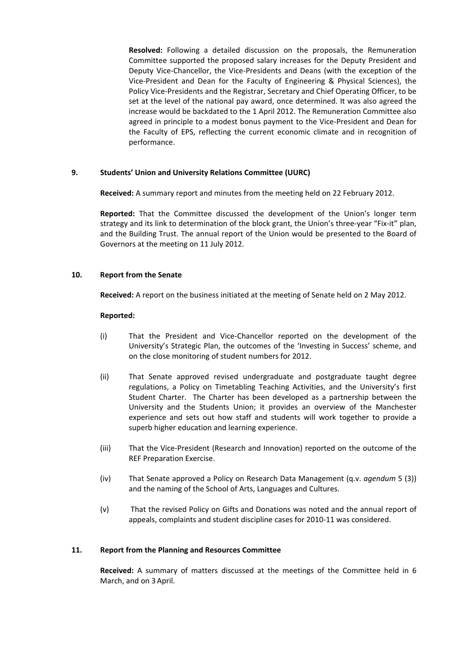**Resolved:** Following a detailed discussion on the proposals, the Remuneration Committee supported the proposed salary increases for the Deputy President and Deputy Vice‐Chancellor, the Vice‐Presidents and Deans (with the exception of the Vice‐President and Dean for the Faculty of Engineering & Physical Sciences), the Policy Vice‐Presidents and the Registrar, Secretary and Chief Operating Officer, to be set at the level of the national pay award, once determined. It was also agreed the increase would be backdated to the 1 April 2012. The Remuneration Committee also agreed in principle to a modest bonus payment to the Vice-President and Dean for the Faculty of EPS, reflecting the current economic climate and in recognition of performance.

## **9. Students' Union and University Relations Committee (UURC)**

**Received:** A summary report and minutes from the meeting held on 22 February 2012.

**Reported:** That the Committee discussed the development of the Union's longer term strategy and its link to determination of the block grant, the Union's three-year "Fix-it" plan, and the Building Trust. The annual report of the Union would be presented to the Board of Governors at the meeting on 11 July 2012.

## **10. Report from the Senate**

**Received:** A report on the business initiated at the meeting of Senate held on 2 May 2012.

### **Reported:**

- (i) That the President and Vice‐Chancellor reported on the development of the University's Strategic Plan, the outcomes of the 'Investing in Success' scheme, and on the close monitoring of student numbers for 2012.
- (ii) That Senate approved revised undergraduate and postgraduate taught degree regulations, a Policy on Timetabling Teaching Activities, and the University's first Student Charter. The Charter has been developed as a partnership between the University and the Students Union; it provides an overview of the Manchester experience and sets out how staff and students will work together to provide a superb higher education and learning experience.
- (iii) That the Vice‐President (Research and Innovation) reported on the outcome of the REF Preparation Exercise.
- (iv) That Senate approved a Policy on Research Data Management (q.v. *agendum* 5 (3)) and the naming of the School of Arts, Languages and Cultures.
- (v) That the revised Policy on Gifts and Donations was noted and the annual report of appeals, complaints and student discipline cases for 2010‐11 was considered.

### **11. Report from the Planning and Resources Committee**

**Received:** A summary of matters discussed at the meetings of the Committee held in 6 March, and on 3 April.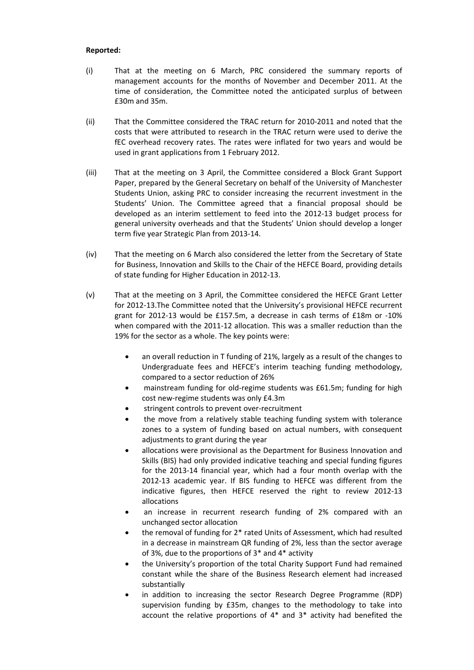- (i) That at the meeting on 6 March, PRC considered the summary reports of management accounts for the months of November and December 2011. At the time of consideration, the Committee noted the anticipated surplus of between £30m and 35m.
- (ii) That the Committee considered the TRAC return for 2010‐2011 and noted that the costs that were attributed to research in the TRAC return were used to derive the fEC overhead recovery rates. The rates were inflated for two years and would be used in grant applications from 1 February 2012.
- (iii) That at the meeting on 3 April, the Committee considered a Block Grant Support Paper, prepared by the General Secretary on behalf of the University of Manchester Students Union, asking PRC to consider increasing the recurrent investment in the Students' Union. The Committee agreed that a financial proposal should be developed as an interim settlement to feed into the 2012‐13 budget process for general university overheads and that the Students' Union should develop a longer term five year Strategic Plan from 2013‐14.
- (iv) That the meeting on 6 March also considered the letter from the Secretary of State for Business, Innovation and Skills to the Chair of the HEFCE Board, providing details of state funding for Higher Education in 2012‐13.
- (v) That at the meeting on 3 April, the Committee considered the HEFCE Grant Letter for 2012-13. The Committee noted that the University's provisional HEFCE recurrent grant for 2012‐13 would be £157.5m, a decrease in cash terms of £18m or ‐10% when compared with the 2011-12 allocation. This was a smaller reduction than the 19% for the sector as a whole. The key points were:
	- an overall reduction in T funding of 21%, largely as a result of the changes to Undergraduate fees and HEFCE's interim teaching funding methodology, compared to a sector reduction of 26%
	- mainstream funding for old‐regime students was £61.5m; funding for high cost new‐regime students was only £4.3m
	- stringent controls to prevent over‐recruitment
	- the move from a relatively stable teaching funding system with tolerance zones to a system of funding based on actual numbers, with consequent adjustments to grant during the year
	- allocations were provisional as the Department for Business Innovation and Skills (BIS) had only provided indicative teaching and special funding figures for the 2013‐14 financial year, which had a four month overlap with the 2012‐13 academic year. If BIS funding to HEFCE was different from the indicative figures, then HEFCE reserved the right to review 2012‐13 allocations
	- an increase in recurrent research funding of 2% compared with an unchanged sector allocation
	- the removal of funding for 2\* rated Units of Assessment, which had resulted in a decrease in mainstream QR funding of 2%, less than the sector average of 3%, due to the proportions of 3\* and 4\* activity
	- the University's proportion of the total Charity Support Fund had remained constant while the share of the Business Research element had increased substantially
	- in addition to increasing the sector Research Degree Programme (RDP) supervision funding by £35m, changes to the methodology to take into account the relative proportions of 4\* and 3\* activity had benefited the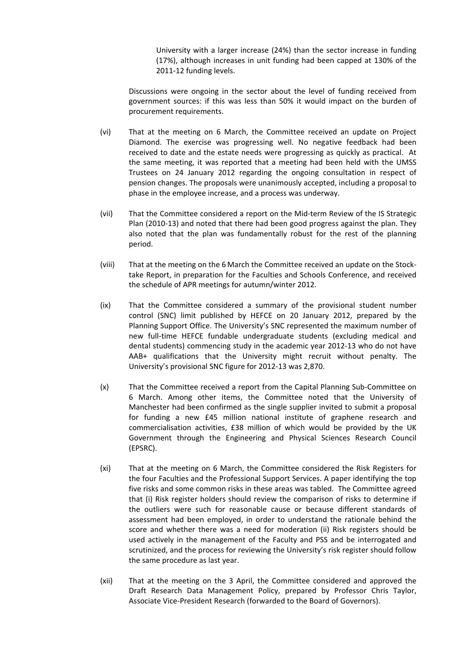University with a larger increase (24%) than the sector increase in funding (17%), although increases in unit funding had been capped at 130% of the 2011‐12 funding levels.

Discussions were ongoing in the sector about the level of funding received from government sources: if this was less than 50% it would impact on the burden of procurement requirements.

- (vi) That at the meeting on 6 March, the Committee received an update on Project Diamond. The exercise was progressing well. No negative feedback had been received to date and the estate needs were progressing as quickly as practical. At the same meeting, it was reported that a meeting had been held with the UMSS Trustees on 24 January 2012 regarding the ongoing consultation in respect of pension changes. The proposals were unanimously accepted, including a proposal to phase in the employee increase, and a process was underway.
- (vii) That the Committee considered a report on the Mid‐term Review of the IS Strategic Plan (2010-13) and noted that there had been good progress against the plan. They also noted that the plan was fundamentally robust for the rest of the planning period.
- (viii) That at the meeting on the 6 March the Committee received an update on the Stock‐ take Report, in preparation for the Faculties and Schools Conference, and received the schedule of APR meetings for autumn/winter 2012.
- (ix) That the Committee considered a summary of the provisional student number control (SNC) limit published by HEFCE on 20 January 2012, prepared by the Planning Support Office. The University's SNC represented the maximum number of new full-time HEFCE fundable undergraduate students (excluding medical and dental students) commencing study in the academic year 2012‐13 who do not have AAB+ qualifications that the University might recruit without penalty. The University's provisional SNC figure for 2012‐13 was 2,870.
- (x) That the Committee received a report from the Capital Planning Sub‐Committee on 6 March. Among other items, the Committee noted that the University of Manchester had been confirmed as the single supplier invited to submit a proposal for funding a new £45 million national institute of graphene research and commercialisation activities, £38 million of which would be provided by the UK Government through the Engineering and Physical Sciences Research Council (EPSRC).
- (xi) That at the meeting on 6 March, the Committee considered the Risk Registers for the four Faculties and the Professional Support Services. A paper identifying the top five risks and some common risks in these areas was tabled. The Committee agreed that (i) Risk register holders should review the comparison of risks to determine if the outliers were such for reasonable cause or because different standards of assessment had been employed, in order to understand the rationale behind the score and whether there was a need for moderation (ii) Risk registers should be used actively in the management of the Faculty and PSS and be interrogated and scrutinized, and the process for reviewing the University's risk register should follow the same procedure as last year.
- (xii) That at the meeting on the 3 April, the Committee considered and approved the Draft Research Data Management Policy, prepared by Professor Chris Taylor, Associate Vice‐President Research (forwarded to the Board of Governors).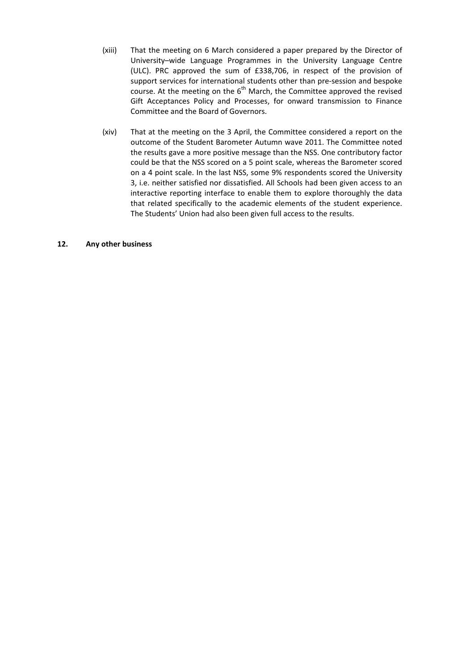- (xiii) That the meeting on 6 March considered a paper prepared by the Director of University–wide Language Programmes in the University Language Centre (ULC). PRC approved the sum of £338,706, in respect of the provision of support services for international students other than pre-session and bespoke course. At the meeting on the  $6<sup>th</sup>$  March, the Committee approved the revised Gift Acceptances Policy and Processes, for onward transmission to Finance Committee and the Board of Governors.
- (xiv) That at the meeting on the 3 April, the Committee considered a report on the outcome of the Student Barometer Autumn wave 2011. The Committee noted the results gave a more positive message than the NSS. One contributory factor could be that the NSS scored on a 5 point scale, whereas the Barometer scored on a 4 point scale. In the last NSS, some 9% respondents scored the University 3, i.e. neither satisfied nor dissatisfied. All Schools had been given access to an interactive reporting interface to enable them to explore thoroughly the data that related specifically to the academic elements of the student experience. The Students' Union had also been given full access to the results.

## **12. Any other business**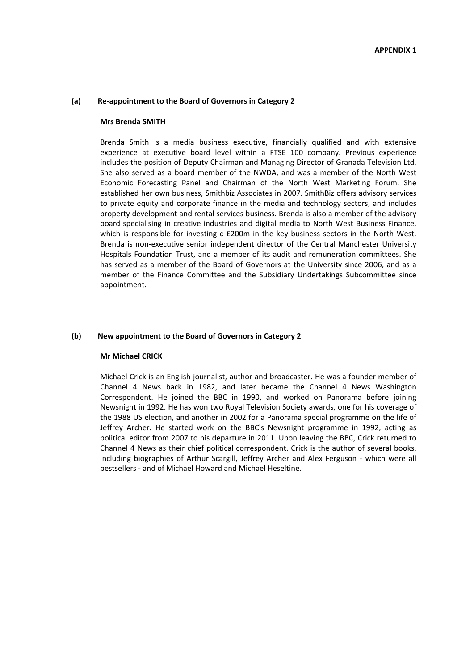#### **(a) Re‐appointment to the Board of Governors in Category 2**

#### **Mrs Brenda SMITH**

Brenda Smith is a media business executive, financially qualified and with extensive experience at executive board level within a FTSE 100 company. Previous experience includes the position of Deputy Chairman and Managing Director of Granada Television Ltd. She also served as a board member of the NWDA, and was a member of the North West Economic Forecasting Panel and Chairman of the North West Marketing Forum. She established her own business, Smithbiz Associates in 2007. SmithBiz offers advisory services to private equity and corporate finance in the media and technology sectors, and includes property development and rental services business. Brenda is also a member of the advisory board specialising in creative industries and digital media to North West Business Finance, which is responsible for investing c £200m in the key business sectors in the North West. Brenda is non‐executive senior independent director of the Central Manchester University Hospitals Foundation Trust, and a member of its audit and remuneration committees. She has served as a member of the Board of Governors at the University since 2006, and as a member of the Finance Committee and the Subsidiary Undertakings Subcommittee since appointment.

#### **(b) New appointment to the Board of Governors in Category 2**

#### **Mr Michael CRICK**

Michael Crick is an English journalist, author and broadcaster. He was a founder member of Channel 4 News back in 1982, and later became the Channel 4 News Washington Correspondent. He joined the BBC in 1990, and worked on Panorama before joining Newsnight in 1992. He has won two Royal Television Society awards, one for his coverage of the 1988 US election, and another in 2002 for a Panorama special programme on the life of Jeffrey Archer. He started work on the BBC's Newsnight programme in 1992, acting as political editor from 2007 to his departure in 2011. Upon leaving the BBC, Crick returned to Channel 4 News as their chief political correspondent. Crick is the author of several books, including biographies of Arthur Scargill, Jeffrey Archer and Alex Ferguson - which were all bestsellers ‐ and of Michael Howard and Michael Heseltine.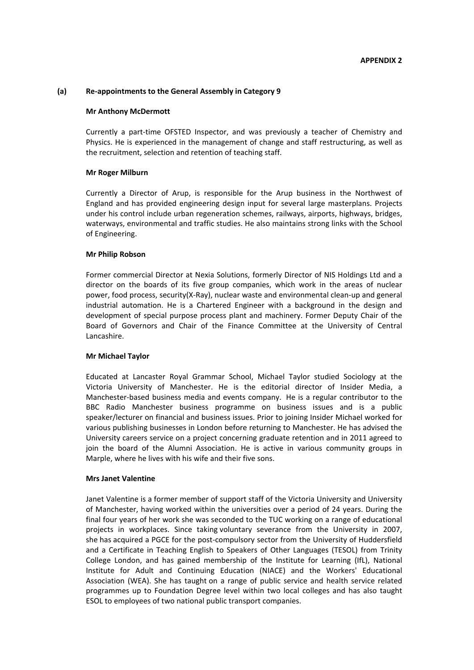#### **(a) Re‐appointments to the General Assembly in Category 9**

#### **Mr Anthony McDermott**

Currently a part‐time OFSTED Inspector, and was previously a teacher of Chemistry and Physics. He is experienced in the management of change and staff restructuring, as well as the recruitment, selection and retention of teaching staff.

#### **Mr Roger Milburn**

Currently a Director of Arup, is responsible for the Arup business in the Northwest of England and has provided engineering design input for several large masterplans. Projects under his control include urban regeneration schemes, railways, airports, highways, bridges, waterways, environmental and traffic studies. He also maintains strong links with the School of Engineering.

#### **Mr Philip Robson**

Former commercial Director at Nexia Solutions, formerly Director of NIS Holdings Ltd and a director on the boards of its five group companies, which work in the areas of nuclear power, food process, security(X‐Ray), nuclear waste and environmental clean‐up and general industrial automation. He is a Chartered Engineer with a background in the design and development of special purpose process plant and machinery. Former Deputy Chair of the Board of Governors and Chair of the Finance Committee at the University of Central Lancashire.

#### **Mr Michael Taylor**

Educated at Lancaster Royal Grammar School, Michael Taylor studied Sociology at the Victoria University of Manchester. He is the editorial director of Insider Media, a Manchester‐based business media and events company. He is a regular contributor to the BBC Radio Manchester business programme on business issues and is a public speaker/lecturer on financial and business issues. Prior to joining Insider Michael worked for various publishing businesses in London before returning to Manchester. He has advised the University careers service on a project concerning graduate retention and in 2011 agreed to join the board of the Alumni Association. He is active in various community groups in Marple, where he lives with his wife and their five sons.

#### **Mrs Janet Valentine**

Janet Valentine is a former member of support staff of the Victoria University and University of Manchester, having worked within the universities over a period of 24 years. During the final four years of her work she was seconded to the TUC working on a range of educational projects in workplaces. Since taking voluntary severance from the University in 2007, she has acquired a PGCE for the post‐compulsory sector from the University of Huddersfield and a Certificate in Teaching English to Speakers of Other Languages (TESOL) from Trinity College London, and has gained membership of the Institute for Learning (IfL), National Institute for Adult and Continuing Education (NIACE) and the Workers' Educational Association (WEA). She has taught on a range of public service and health service related programmes up to Foundation Degree level within two local colleges and has also taught ESOL to employees of two national public transport companies.